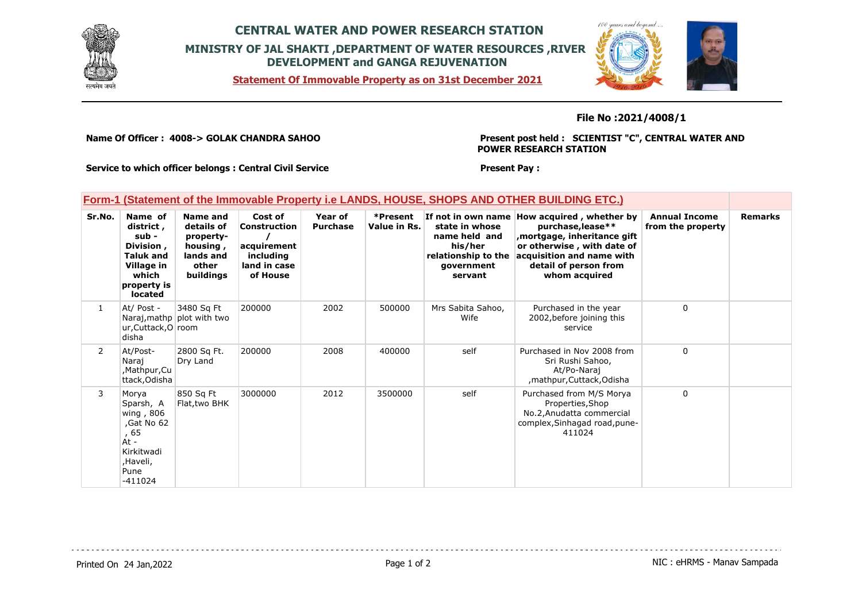

# **CENTRAL WATER AND POWER RESEARCH STATION MINISTRY OF JAL SHAKTI ,DEPARTMENT OF WATER RESOURCES ,RIVER DEVELOPMENT and GANGA REJUVENATION**





### **File No :2021/4008/1**

**Name Of Officer : 4008-> GOLAK CHANDRA SAHOO** 

**Present post held : SCIENTIST "C", CENTRAL WATER AND POWER RESEARCH STATION**

 $100$ 

**Service to which officer belongs : Central Civil Service**

**Present Pay :** 

### **Form-1 (Statement of the Immovable Property i.e LANDS, HOUSE, SHOPS AND OTHER BUILDING ETC.)**

| Sr.No.         | Name of<br>district,<br>sub -<br>Division,<br><b>Taluk and</b><br>Village in<br>which<br>property is<br><b>located</b> | Name and<br>details of<br>property-<br>housing,<br>lands and<br>other<br>buildings | Cost of<br>Construction<br>acquirement<br>includina<br>land in case<br>of House | Year of<br><b>Purchase</b> | *Present<br>Value in Rs. | If not in own name<br>state in whose<br>name held and<br>his/her<br>relationship to the<br>government<br>servant | How acquired, whether by<br>purchase, lease**<br>mortgage, inheritance gift,<br>or otherwise, with date of<br>acquisition and name with<br>detail of person from<br>whom acquired | <b>Annual Income</b><br>from the property | <b>Remarks</b> |
|----------------|------------------------------------------------------------------------------------------------------------------------|------------------------------------------------------------------------------------|---------------------------------------------------------------------------------|----------------------------|--------------------------|------------------------------------------------------------------------------------------------------------------|-----------------------------------------------------------------------------------------------------------------------------------------------------------------------------------|-------------------------------------------|----------------|
| $\mathbf{1}$   | At/ Post -<br>ur, Cuttack, O room<br>disha                                                                             | 3480 Sq Ft<br>Naraj, mathp plot with two                                           | 200000                                                                          | 2002                       | 500000                   | Mrs Sabita Sahoo,<br>Wife                                                                                        | Purchased in the year<br>2002, before joining this<br>service                                                                                                                     | $\Omega$                                  |                |
| $\overline{2}$ | At/Post-<br>Naraj<br>,Mathpur,Cu<br>ttack, Odisha                                                                      | 2800 Sq Ft.<br>Dry Land                                                            | 200000                                                                          | 2008                       | 400000                   | self                                                                                                             | Purchased in Nov 2008 from<br>Sri Rushi Sahoo,<br>At/Po-Naraj<br>, mathpur, Cuttack, Odisha                                                                                       | $\Omega$                                  |                |
| 3              | Morya<br>Sparsh, A<br>wing, 806<br>,Gat No 62<br>, 65<br>$At -$<br>Kirkitwadi<br>,Haveli,<br>Pune<br>$-411024$         | 850 Sg Ft<br>Flat, two BHK                                                         | 3000000                                                                         | 2012                       | 3500000                  | self                                                                                                             | Purchased from M/S Morya<br>Properties, Shop<br>No.2, Anudatta commercial<br>complex, Sinhagad road, pune-<br>411024                                                              | $\Omega$                                  |                |